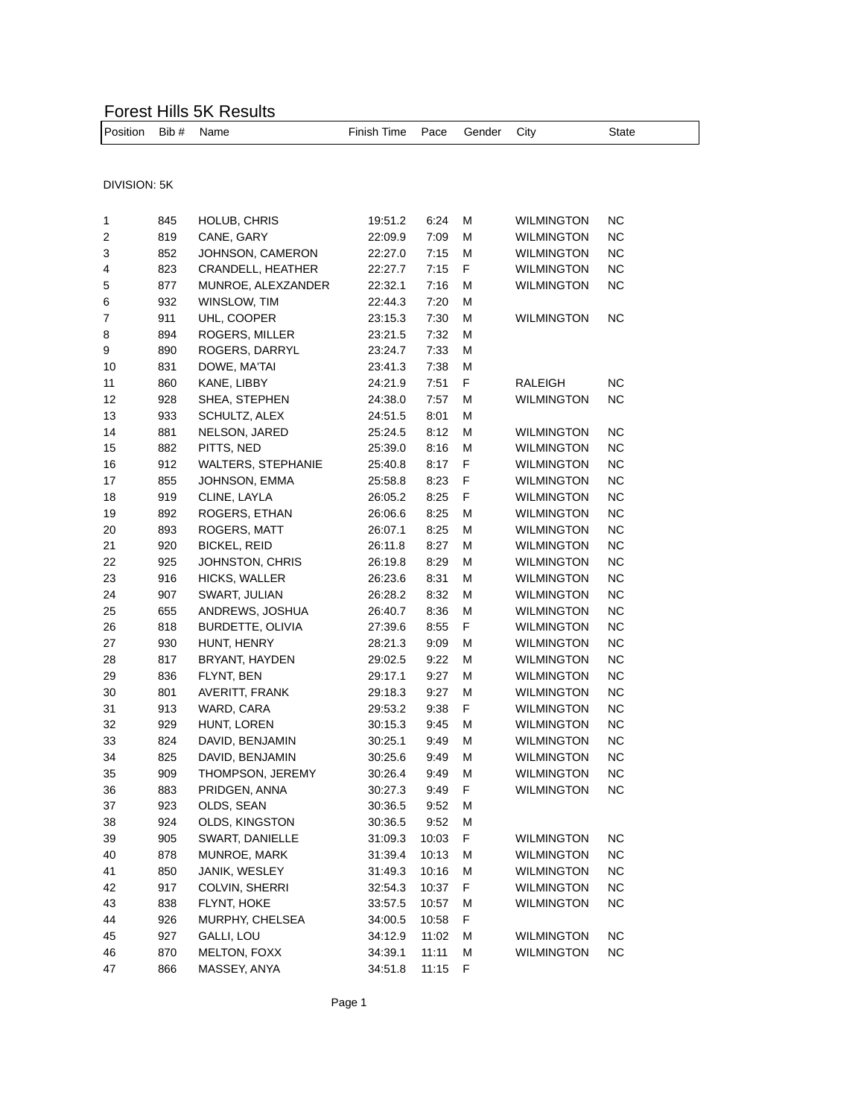## Forest Hills 5K Results

| <b>IPosition</b> | Bib # | Name         | Finish Time Pace Gender |      |   | City              | State |  |
|------------------|-------|--------------|-------------------------|------|---|-------------------|-------|--|
|                  |       |              |                         |      |   |                   |       |  |
| DIVISION: 5K     |       |              |                         |      |   |                   |       |  |
|                  | 845   | HOLUB, CHRIS | 19:51.2                 | 6:24 | M | <b>WILMINGTON</b> | NC.   |  |

|    | ∪+ບ | <b>TIOLOD, OFINIO</b>     | 19.01.2 | ∪.∠+  | 1VI |                   | w         |
|----|-----|---------------------------|---------|-------|-----|-------------------|-----------|
| 2  | 819 | CANE, GARY                | 22:09.9 | 7:09  | М   | <b>WILMINGTON</b> | <b>NC</b> |
| 3  | 852 | JOHNSON, CAMERON          | 22:27.0 | 7:15  | M   | <b>WILMINGTON</b> | <b>NC</b> |
| 4  | 823 | CRANDELL, HEATHER         | 22:27.7 | 7:15  | F   | <b>WILMINGTON</b> | NC.       |
| 5  | 877 | MUNROE, ALEXZANDER        | 22:32.1 | 7:16  | М   | <b>WILMINGTON</b> | <b>NC</b> |
| 6  | 932 | WINSLOW, TIM              | 22:44.3 | 7:20  | М   |                   |           |
| 7  | 911 | UHL, COOPER               | 23:15.3 | 7:30  | М   | <b>WILMINGTON</b> | ΝC        |
| 8  | 894 | ROGERS, MILLER            | 23:21.5 | 7:32  | М   |                   |           |
| 9  | 890 | ROGERS, DARRYL            | 23:24.7 | 7:33  | М   |                   |           |
| 10 | 831 | DOWE, MA'TAI              | 23.41.3 | 7:38  | M   |                   |           |
| 11 | 860 | KANE, LIBBY               | 24:21.9 | 7:51  | F   | <b>RALEIGH</b>    | ΝC        |
| 12 | 928 | SHEA, STEPHEN             | 24:38.0 | 7:57  | М   | <b>WILMINGTON</b> | <b>NC</b> |
| 13 | 933 | SCHULTZ, ALEX             | 24:51.5 | 8:01  | М   |                   |           |
| 14 | 881 | NELSON, JARED             | 25:24.5 | 8:12  | M   | <b>WILMINGTON</b> | <b>NC</b> |
| 15 | 882 | PITTS, NED                | 25:39.0 | 8:16  | М   | <b>WILMINGTON</b> | <b>NC</b> |
| 16 | 912 | <b>WALTERS, STEPHANIE</b> | 25:40.8 | 8:17  | F   | <b>WILMINGTON</b> | NC.       |
| 17 | 855 | JOHNSON, EMMA             | 25:58.8 | 8:23  | F   | <b>WILMINGTON</b> | <b>NC</b> |
| 18 | 919 | CLINE, LAYLA              | 26:05.2 | 8:25  | F   | <b>WILMINGTON</b> | <b>NC</b> |
| 19 | 892 | ROGERS, ETHAN             | 26:06.6 | 8:25  | М   | <b>WILMINGTON</b> | <b>NC</b> |
| 20 | 893 | ROGERS, MATT              | 26:07.1 | 8:25  | М   | <b>WILMINGTON</b> | <b>NC</b> |
| 21 | 920 | <b>BICKEL, REID</b>       | 26:11.8 | 8:27  | М   | <b>WILMINGTON</b> | <b>NC</b> |
| 22 | 925 | JOHNSTON, CHRIS           | 26:19.8 | 8:29  | М   | <b>WILMINGTON</b> | <b>NC</b> |
| 23 | 916 | HICKS, WALLER             | 26:23.6 | 8:31  | M   | <b>WILMINGTON</b> | <b>NC</b> |
| 24 | 907 | SWART, JULIAN             | 26:28.2 | 8:32  | M   | <b>WILMINGTON</b> | <b>NC</b> |
| 25 | 655 | ANDREWS, JOSHUA           | 26:40.7 | 8:36  | M   | <b>WILMINGTON</b> | <b>NC</b> |
| 26 | 818 | BURDETTE, OLIVIA          | 27:39.6 | 8:55  | F   | <b>WILMINGTON</b> | <b>NC</b> |
| 27 | 930 | HUNT, HENRY               | 28:21.3 | 9:09  | M   | <b>WILMINGTON</b> | <b>NC</b> |
| 28 | 817 | BRYANT, HAYDEN            | 29:02.5 | 9:22  | M   | <b>WILMINGTON</b> | <b>NC</b> |
| 29 | 836 | FLYNT, BEN                | 29:17.1 | 9:27  | M   | <b>WILMINGTON</b> | <b>NC</b> |
| 30 | 801 | AVERITT, FRANK            | 29:18.3 | 9:27  | М   | <b>WILMINGTON</b> | <b>NC</b> |
| 31 | 913 | WARD, CARA                | 29:53.2 | 9:38  | F   | <b>WILMINGTON</b> | <b>NC</b> |
| 32 | 929 | HUNT, LOREN               | 30:15.3 | 9:45  | М   | <b>WILMINGTON</b> | <b>NC</b> |
| 33 | 824 | DAVID, BENJAMIN           | 30:25.1 | 9:49  | М   | <b>WILMINGTON</b> | <b>NC</b> |
| 34 | 825 | DAVID, BENJAMIN           | 30:25.6 | 9:49  | М   | <b>WILMINGTON</b> | NC.       |
| 35 | 909 | THOMPSON, JEREMY          | 30:26.4 | 9:49  | М   | <b>WILMINGTON</b> | NC.       |
| 36 | 883 | PRIDGEN, ANNA             | 30:27.3 | 9:49  | F   | <b>WILMINGTON</b> | <b>NC</b> |
| 37 | 923 | OLDS, SEAN                | 30:36.5 | 9:52  | M   |                   |           |
| 38 | 924 | OLDS, KINGSTON            | 30:36.5 | 9:52  | М   |                   |           |
| 39 | 905 | SWART, DANIELLE           | 31:09.3 | 10:03 | F   | <b>WILMINGTON</b> | ΝC        |
| 40 | 878 | MUNROE, MARK              | 31:39.4 | 10:13 | M   | WILMINGTON        | NC        |
| 41 | 850 | JANIK, WESLEY             | 31:49.3 | 10:16 | M   | <b>WILMINGTON</b> | NС        |
| 42 | 917 | COLVIN, SHERRI            | 32:54.3 | 10:37 | F   | <b>WILMINGTON</b> | <b>NC</b> |
| 43 | 838 | FLYNT, HOKE               | 33:57.5 | 10:57 | M   | <b>WILMINGTON</b> | <b>NC</b> |
| 44 | 926 | MURPHY, CHELSEA           | 34:00.5 | 10:58 | F   |                   |           |
| 45 | 927 | GALLI, LOU                | 34:12.9 | 11:02 | М   | <b>WILMINGTON</b> | <b>NC</b> |
| 46 | 870 | MELTON, FOXX              | 34:39.1 | 11:11 | М   | <b>WILMINGTON</b> | <b>NC</b> |
| 47 | 866 | MASSEY, ANYA              | 34:51.8 | 11:15 | F   |                   |           |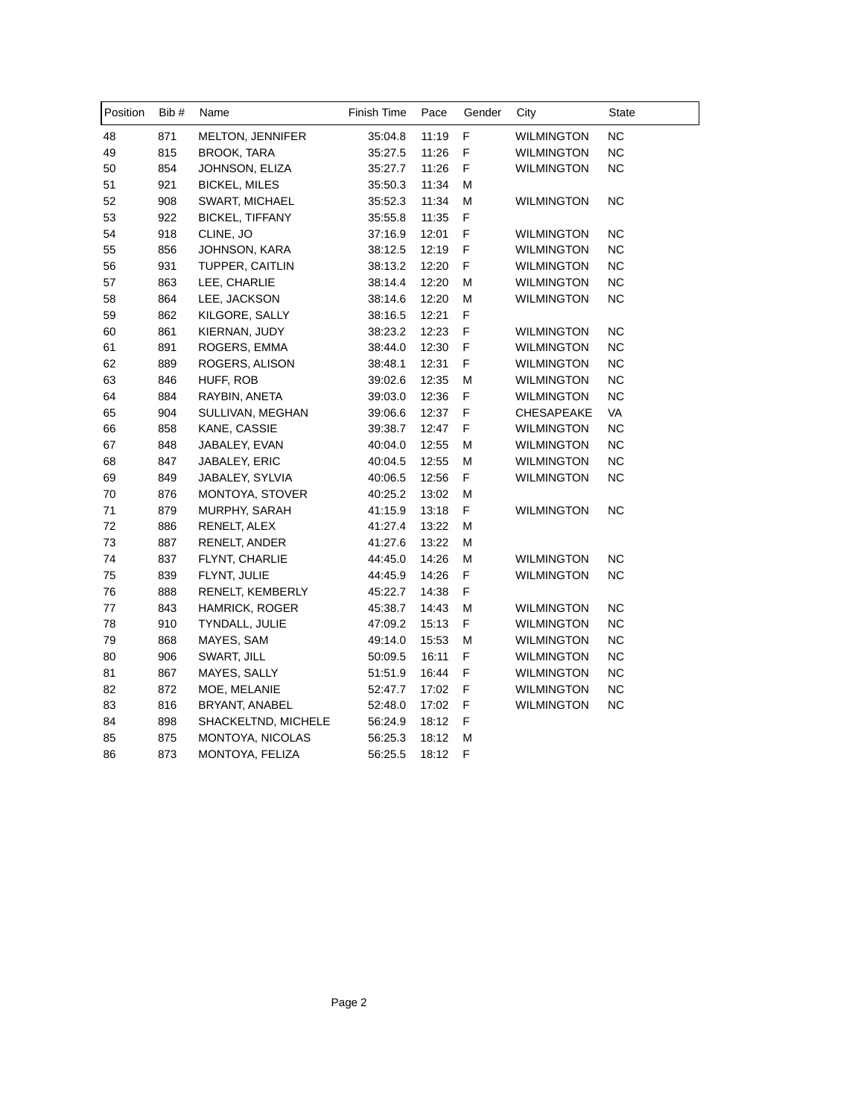| Position | Bib# | Name                   | Finish Time | Pace  | Gender | City              | State     |
|----------|------|------------------------|-------------|-------|--------|-------------------|-----------|
| 48       | 871  | MELTON, JENNIFER       | 35:04.8     | 11:19 | F      | <b>WILMINGTON</b> | NC        |
| 49       | 815  | <b>BROOK, TARA</b>     | 35:27.5     | 11:26 | F      | <b>WILMINGTON</b> | <b>NC</b> |
| 50       | 854  | JOHNSON, ELIZA         | 35:27.7     | 11:26 | F      | <b>WILMINGTON</b> | NC.       |
| 51       | 921  | <b>BICKEL, MILES</b>   | 35:50.3     | 11:34 | М      |                   |           |
| 52       | 908  | SWART, MICHAEL         | 35:52.3     | 11:34 | М      | <b>WILMINGTON</b> | <b>NC</b> |
| 53       | 922  | <b>BICKEL, TIFFANY</b> | 35:55.8     | 11:35 | F      |                   |           |
| 54       | 918  | CLINE, JO              | 37:16.9     | 12:01 | F      | <b>WILMINGTON</b> | <b>NC</b> |
| 55       | 856  | JOHNSON, KARA          | 38:12.5     | 12:19 | F      | <b>WILMINGTON</b> | NC.       |
| 56       | 931  | TUPPER, CAITLIN        | 38:13.2     | 12:20 | F      | <b>WILMINGTON</b> | NC.       |
| 57       | 863  | LEE, CHARLIE           | 38:14.4     | 12:20 | М      | <b>WILMINGTON</b> | NC        |
| 58       | 864  | LEE, JACKSON           | 38:14.6     | 12:20 | М      | <b>WILMINGTON</b> | <b>NC</b> |
| 59       | 862  | KILGORE, SALLY         | 38:16.5     | 12:21 | F      |                   |           |
| 60       | 861  | KIERNAN, JUDY          | 38:23.2     | 12:23 | F      | <b>WILMINGTON</b> | NC.       |
| 61       | 891  | ROGERS, EMMA           | 38:44.0     | 12:30 | F      | <b>WILMINGTON</b> | NC.       |
| 62       | 889  | ROGERS, ALISON         | 38:48.1     | 12:31 | F      | <b>WILMINGTON</b> | NC.       |
| 63       | 846  | HUFF, ROB              | 39:02.6     | 12:35 | М      | <b>WILMINGTON</b> | <b>NC</b> |
| 64       | 884  | RAYBIN, ANETA          | 39:03.0     | 12:36 | F      | <b>WILMINGTON</b> | <b>NC</b> |
| 65       | 904  | SULLIVAN, MEGHAN       | 39:06.6     | 12:37 | F      | <b>CHESAPEAKE</b> | VA        |
| 66       | 858  | KANE, CASSIE           | 39:38.7     | 12:47 | F      | <b>WILMINGTON</b> | NC.       |
| 67       | 848  | JABALEY, EVAN          | 40:04.0     | 12:55 | М      | <b>WILMINGTON</b> | <b>NC</b> |
| 68       | 847  | JABALEY, ERIC          | 40:04.5     | 12:55 | М      | <b>WILMINGTON</b> | NC.       |
| 69       | 849  | JABALEY, SYLVIA        | 40:06.5     | 12:56 | F      | <b>WILMINGTON</b> | <b>NC</b> |
| 70       | 876  | MONTOYA, STOVER        | 40:25.2     | 13:02 | М      |                   |           |
| 71       | 879  | MURPHY, SARAH          | 41:15.9     | 13:18 | F      | <b>WILMINGTON</b> | <b>NC</b> |
| 72       | 886  | RENELT, ALEX           | 41:27.4     | 13:22 | М      |                   |           |
| 73       | 887  | RENELT, ANDER          | 41:27.6     | 13:22 | М      |                   |           |
| 74       | 837  | FLYNT, CHARLIE         | 44:45.0     | 14:26 | M      | <b>WILMINGTON</b> | NC.       |
| 75       | 839  | FLYNT, JULIE           | 44:45.9     | 14:26 | F      | <b>WILMINGTON</b> | NC.       |
| 76       | 888  | RENELT, KEMBERLY       | 45:22.7     | 14:38 | F      |                   |           |
| 77       | 843  | HAMRICK, ROGER         | 45:38.7     | 14:43 | М      | <b>WILMINGTON</b> | NC        |
| 78       | 910  | TYNDALL, JULIE         | 47:09.2     | 15:13 | F      | <b>WILMINGTON</b> | NC.       |
| 79       | 868  | MAYES, SAM             | 49:14.0     | 15:53 | М      | <b>WILMINGTON</b> | <b>NC</b> |
| 80       | 906  | SWART, JILL            | 50:09.5     | 16:11 | F      | <b>WILMINGTON</b> | NC.       |
| 81       | 867  | MAYES, SALLY           | 51:51.9     | 16:44 | F      | <b>WILMINGTON</b> | <b>NC</b> |
| 82       | 872  | MOE, MELANIE           | 52:47.7     | 17:02 | F      | <b>WILMINGTON</b> | NC.       |
| 83       | 816  | BRYANT, ANABEL         | 52:48.0     | 17:02 | F      | <b>WILMINGTON</b> | ΝC        |
| 84       | 898  | SHACKELTND, MICHELE    | 56:24.9     | 18:12 | F      |                   |           |
| 85       | 875  | MONTOYA, NICOLAS       | 56:25.3     | 18:12 | М      |                   |           |
| 86       | 873  | MONTOYA, FELIZA        | 56:25.5     | 18:12 | F      |                   |           |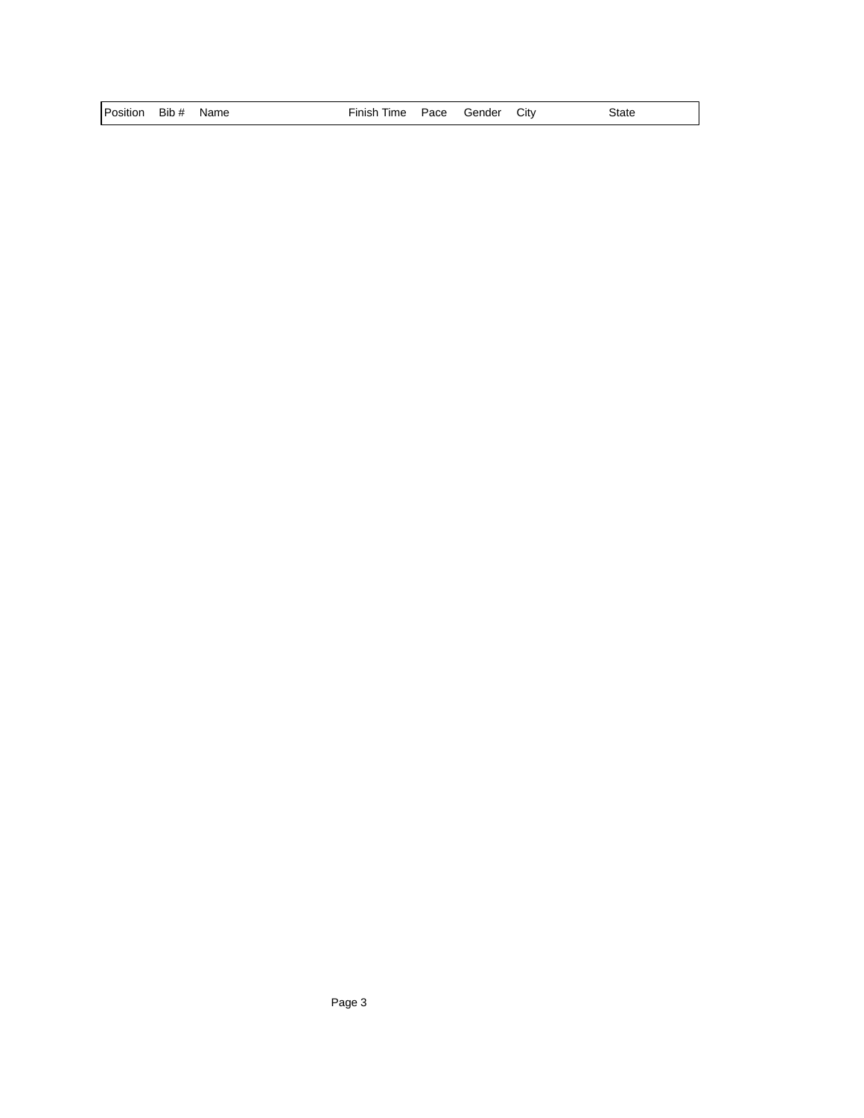| Position Bib # Name |  | Finish Time Pace Gender City |  | State |
|---------------------|--|------------------------------|--|-------|
|                     |  |                              |  |       |